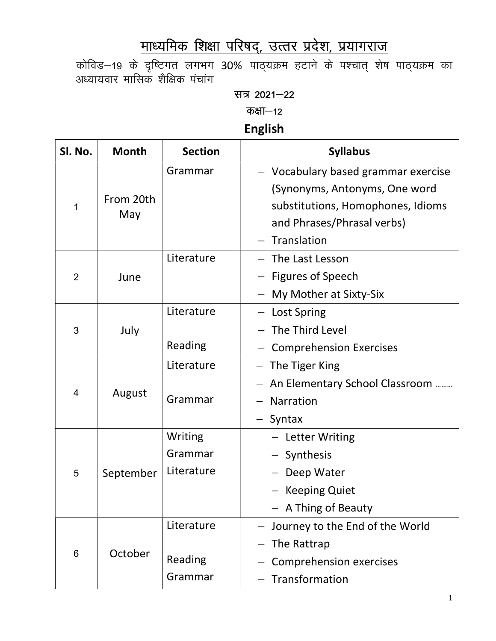# माध्यमिक शिक्षा परिषद्, उत्तर प्रदेश, प्रयागराज

कोविड–19 के दृष्टिगत लगभग 30% पाठ्यक्रम हटाने के पश्चात् शेष पाठ्यक्रम का अध्यायवार मासिक शैक्षिक पंचांग

#### सत्र 2021-22

कक्षा $-12$ 

### English

| Sl. No.        | <b>Month</b>     | <b>Section</b>                   | <b>Syllabus</b>                                                                                                                                        |
|----------------|------------------|----------------------------------|--------------------------------------------------------------------------------------------------------------------------------------------------------|
| 1              | From 20th<br>May | Grammar                          | - Vocabulary based grammar exercise<br>(Synonyms, Antonyms, One word<br>substitutions, Homophones, Idioms<br>and Phrases/Phrasal verbs)<br>Translation |
| $\overline{2}$ | June             | Literature                       | The Last Lesson<br><b>Figures of Speech</b><br>My Mother at Sixty-Six                                                                                  |
| 3              | July             | Literature<br>Reading            | - Lost Spring<br>- The Third Level<br><b>Comprehension Exercises</b>                                                                                   |
| 4              | August           | Literature<br>Grammar            | The Tiger King<br>An Elementary School Classroom<br><b>Narration</b><br>Syntax<br>$\qquad \qquad -$                                                    |
| 5              | September        | Writing<br>Grammar<br>Literature | - Letter Writing<br>- Synthesis<br>Deep Water<br><b>Keeping Quiet</b><br>- A Thing of Beauty                                                           |
| 6              | October          | Literature<br>Reading<br>Grammar | - Journey to the End of the World<br>The Rattrap<br><b>Comprehension exercises</b><br>Transformation                                                   |